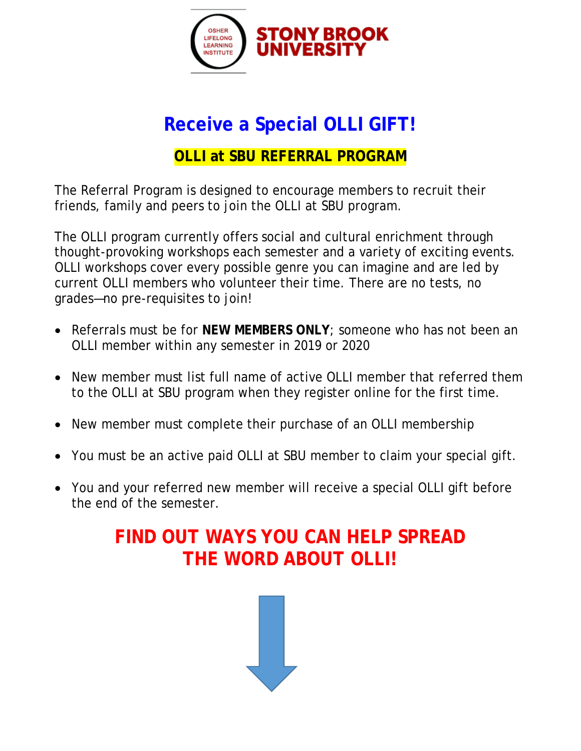

# **Receive a Special OLLI GIFT!**

## **OLLI at SBU REFERRAL PROGRAM**

The Referral Program is designed to encourage members to recruit their friends, family and peers to join the OLLI at SBU program.

The OLLI program currently offers social and cultural enrichment through thought-provoking workshops each semester and a variety of exciting events. OLLI workshops cover every possible genre you can imagine and are led by current OLLI members who volunteer their time. There are no tests, no grades—no pre-requisites to join!

- Referrals must be for **NEW MEMBERS ONLY**; someone who has not been an OLLI member within any semester in 2019 or 2020
- New member must list full name of active OLLI member that referred them to the OLLI at SBU program when they register online for the first time.
- New member must complete their purchase of an OLLI membership
- You must be an active paid OLLI at SBU member to claim your special gift.
- You and your referred new member will receive a special OLLI gift before the end of the semester.

## **FIND OUT WAYS YOU CAN HELP SPREAD THE WORD ABOUT OLLI!**

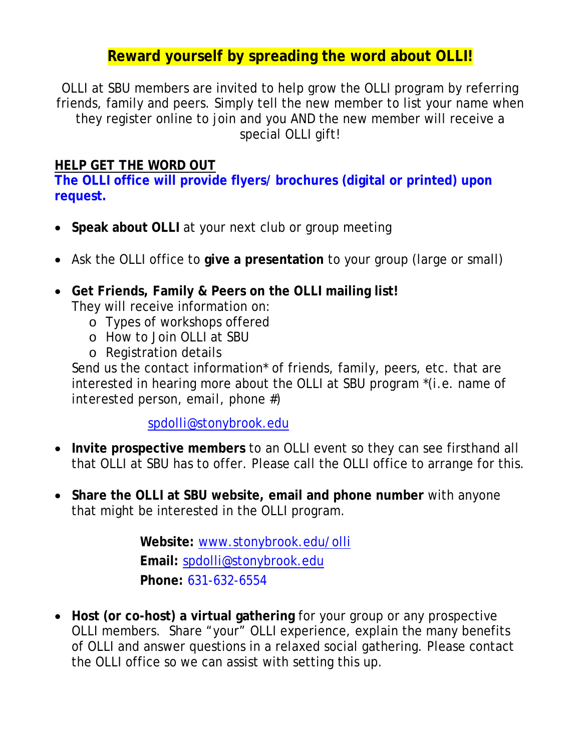### **Reward yourself by spreading the word about OLLI!**

OLLI at SBU members are invited to help grow the OLLI program by referring friends, family and peers. Simply tell the new member to list your name when they register online to join and you AND the new member will receive a special OLLI gift!

#### **HELP GET THE WORD OUT**

**The OLLI office will provide flyers/ brochures (digital or printed) upon request.**

- **Speak about OLLI** at your next club or group meeting
- Ask the OLLI office to **give a presentation** to your group (large or small)
- **Get Friends, Family & Peers on the OLLI mailing list!** They will receive information on:
	- o Types of workshops offered
	- o How to Join OLLI at SBU
	- o Registration details

Send us the contact information<sup>\*</sup> of friends, family, peers, etc. that are interested in hearing more about the OLLI at SBU program *\*(i.e. name of interested person, email, phone #)*

[spdolli@stonybrook.edu](mailto:spdolli@stonybrook.edu)

- **Invite prospective members** to an OLLI event so they can see firsthand all that OLLI at SBU has to offer. Please call the OLLI office to arrange for this.
- **Share the OLLI at SBU website, email and phone number** with anyone that might be interested in the OLLI program.

**Website:** [www.stonybrook.edu/olli](http://www.stonybrook.edu/olli) **Email:** [spdolli@stonybrook.edu](mailto:spdolli@stonybrook.edu) **Phone:** 631-632-6554

• **Host (or co-host) a virtual gathering** for your group or any prospective OLLI members. Share "your" OLLI experience, explain the many benefits of OLLI and answer questions in a relaxed social gathering. Please contact the OLLI office so we can assist with setting this up.